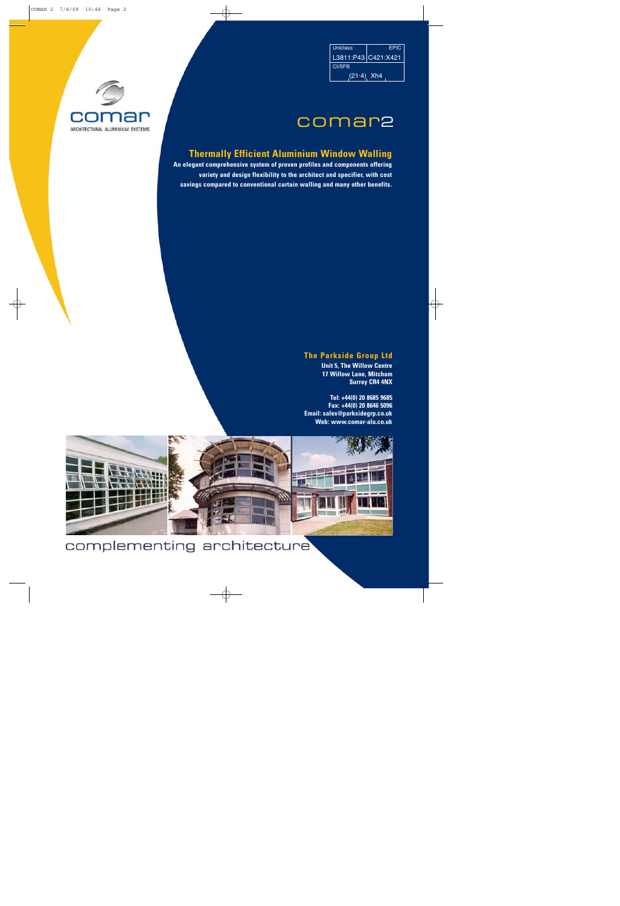| <b>Uniclass</b>     | <b>FPIC</b> |
|---------------------|-------------|
| L3811:P43 C421:X421 |             |
| <b>CI/SFB</b>       |             |
| $(21.4)$ , Xh4      |             |

## comar2

## **Thermally Efficient Aluminium Window Walling Thermally Efficient Aluminium**

**An elegant comprehensive system of proven profiles and components offering variety and design flexibility to the architect and specifier, with cost savings compared to conventional curtain walling and many other benefits.**

## **The Parkside Group Ltd The Group Ltd**

**Unit 5, The Willow Centre 17 Willow Lane, Mitcham Surrey CR4 4NX**

**Tel: +44(0) 20 8685 9685 Fax: +44(0) 20 8646 5096 Email: sales@parksidegrp.co.uk Web: www.comar-alu.co.uk**



## complementing architecture

ARCHITECTURAL ALUMINIUM SYSTEMS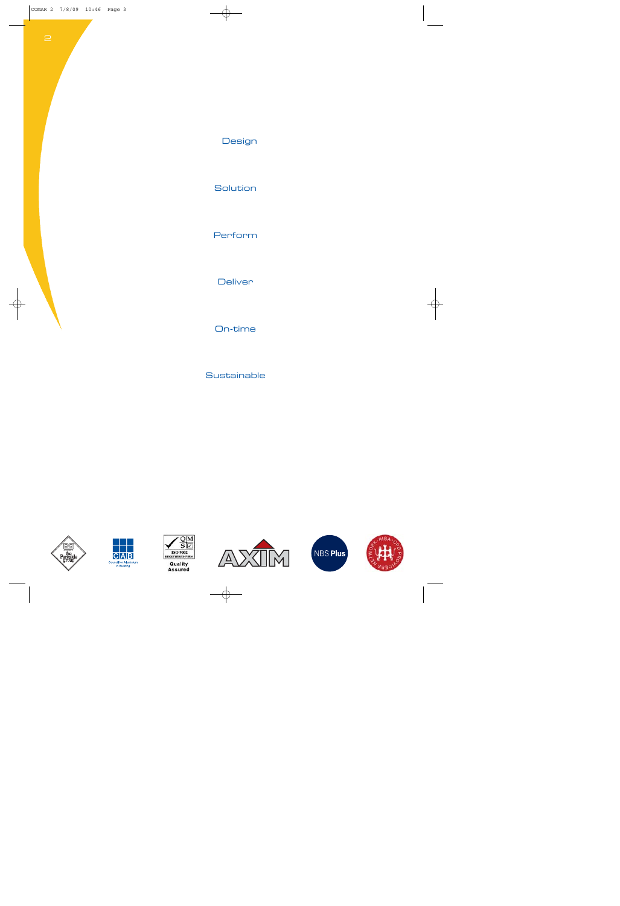## Design

Solution

Perform

**Deliver** 

On-time

**Sustainable** 











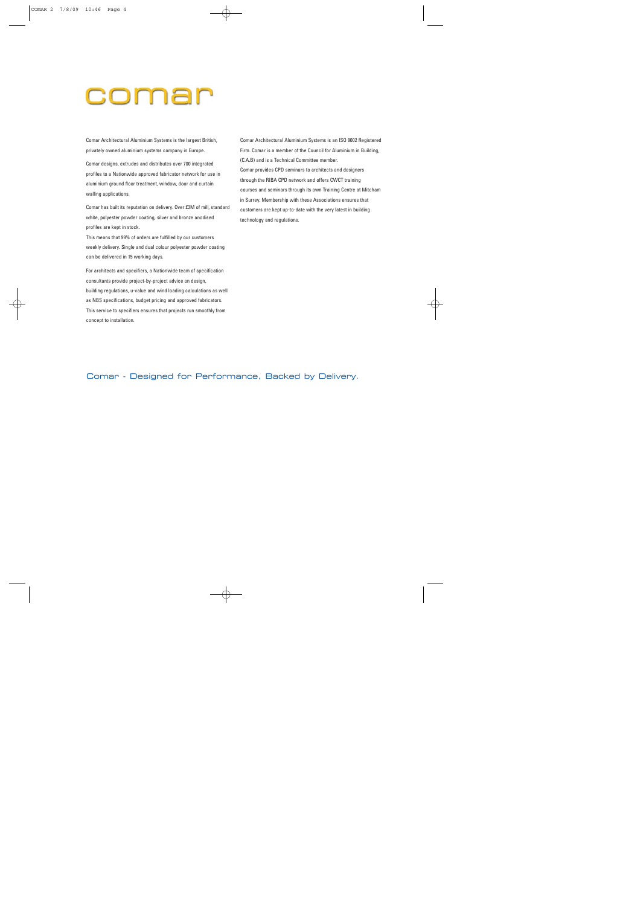## comar

Comar Architectural Aluminium Systems is the largest British, privately owned aluminium systems company in Europe.

Comar designs, extrudes and distributes over 700 integrated profiles to a Nationwide approved fabricator network for use in aluminium ground floor treatment, window, door and curtain walling applications.

Comar has built its reputation on delivery. Over £3M of mill, standard white, polyester powder coating, silver and bronze anodised profiles are kept in stock.

This means that 99% of orders are fulfilled by our customers weekly delivery. Single and dual colour polyester powder coating can be delivered in 15 working days.

For architects and specifiers, a Nationwide team of specification consultants provide project-by-project advice on design, building regulations, u-value and wind loading calculations as well as NBS specifications, budget pricing and approved fabricators. This service to specifiers ensures that projects run smoothly from concept to installation.

Comar Architectural Aluminium Systems is an ISO 9002 Registered Firm. Comar is a member of the Council for Aluminium in Building, (C.A.B) and is a Technical Committee member. Comar provides CPD seminars to architects and designers through the RIBA CPD network and offers CWCT training courses and seminars through its own Training Centre at Mitcham in Surrey. Membership with these Associations ensures that customers are kept up-to-date with the very latest in building technology and regulations.

Comar - Designed for Performance, Backed by Delivery.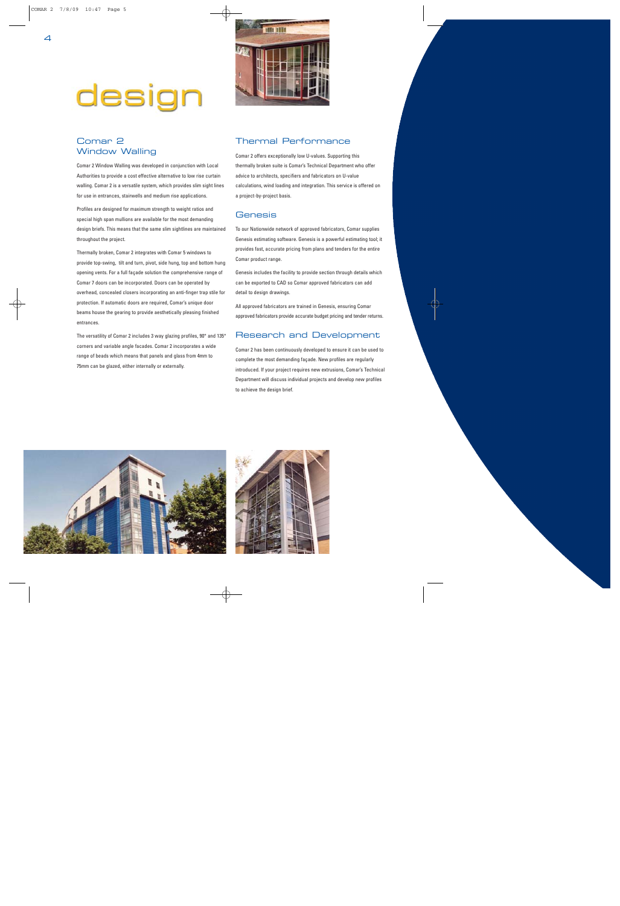# design



## Comar 2 Window Walling

Comar 2 Window Walling was developed in conjunction with Local Authorities to provide a cost effective alternative to low rise curtain walling. Comar 2 is a versatile system, which provides slim sight lines for use in entrances, stairwells and medium rise applications.

Profiles are designed for maximum strength to weight ratios and special high span mullions are available for the most demanding design briefs. This means that the same slim sightlines are maintained throughout the project.

Thermally broken, Comar 2 integrates with Comar 5 windows to provide top-swing, tilt and turn, pivot, side hung, top and bottom hung opening vents. For a full façade solution the comprehensive range of Comar 7 doors can be incorporated. Doors can be operated by overhead, concealed closers incorporating an anti-finger trap stile for protection. If automatic doors are required, Comar's unique door beams house the gearing to provide aesthetically pleasing finished entrances.

The versatility of Comar 2 includes 3 way glazing profiles, 90° and 135° corners and variable angle facades. Comar 2 incorporates a wide range of beads which means that panels and glass from 4mm to 75mm can be glazed, either internally or externally.

## Thermal Performance

Comar 2 offers exceptionally low U-values. Supporting this thermally broken suite is Comar's Technical Department who offer advice to architects, specifiers and fabricators on U-value calculations, wind loading and integration. This service is offered on a project-by-project basis.

### **Genesis**

To our Nationwide network of approved fabricators, Comar supplies Genesis estimating software. Genesis is a powerful estimating tool; it provides fast, accurate pricing from plans and tenders for the entire Comar product range.

Genesis includes the facility to provide section through details which can be exported to CAD so Comar approved fabricators can add detail to design drawings.

All approved fabricators are trained in Genesis, ensuring Comar approved fabricators provide accurate budget pricing and tender returns.

## Research and Development

Comar 2 has been continuously developed to ensure it can be used to complete the most demanding façade. New profiles are regularly introduced. If your project requires new extrusions, Comar's Technical Department will discuss individual projects and develop new profiles to achieve the design brief.



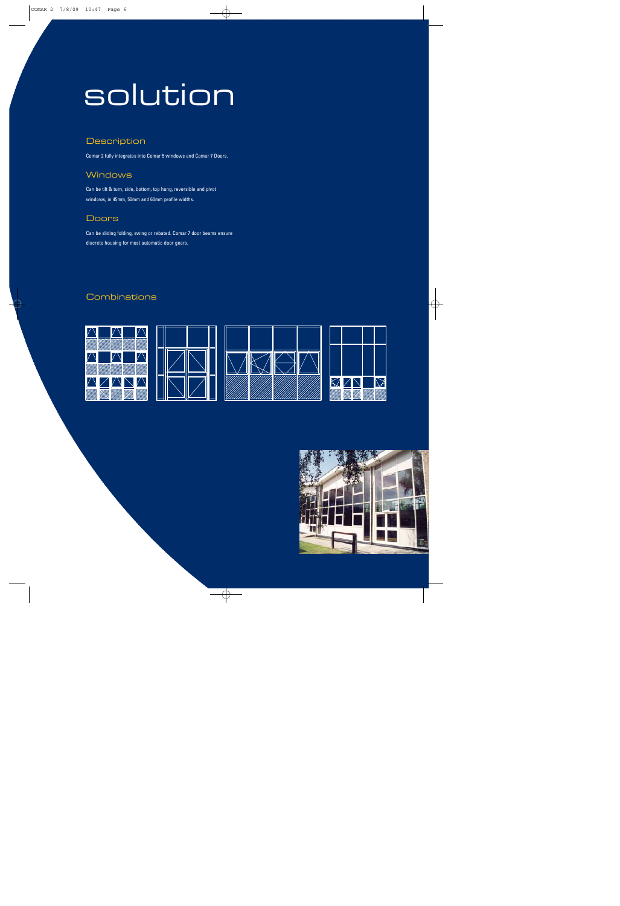## solution

## **Description**

Comar 2 fully integrates into Comar 5 windows and Comar 7 Doors.

## **Windows**

Can be tilt & turn, side, bottom, top hung, reversible and pivot windows, in 45mm, 50mm and 60mm profile widths.

## **Doors**

Can be sliding folding, swing or rebated. Comar 7 door beams ensure discrete housing for most automatic door gears.

## **Combinations**









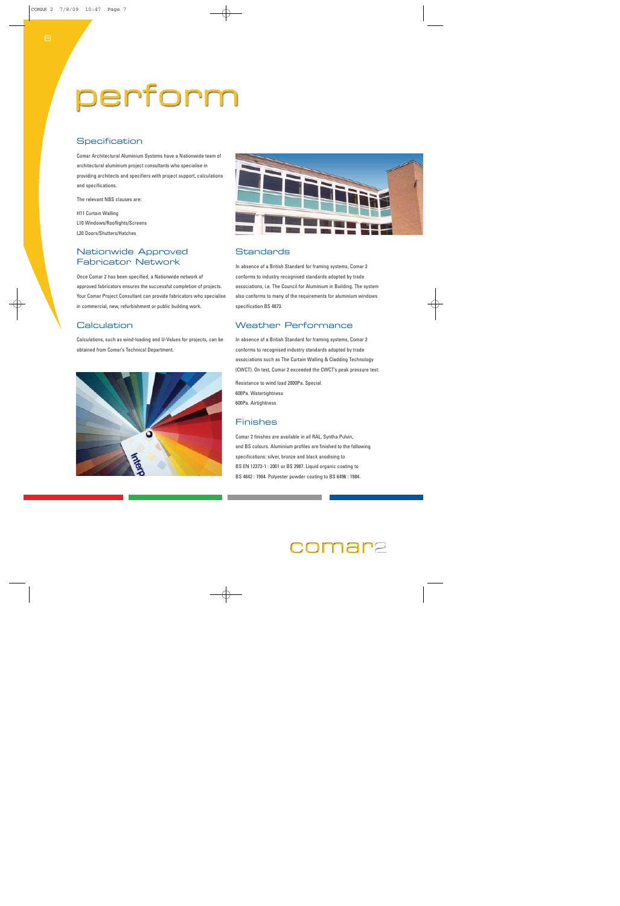# perform

## **Specification**

Comar Architectural Aluminium Systems have a Nationwide team of architectural aluminium project consultants who specialise in providing architects and specifiers with project support, calculations and specifications.

The relevant NBS clauses are:

H11 Curtain Walling L10 Windows/Rooflights/Screens L20 Doors/Shutters/Hatches

## Nationwide Approved Fabricator Network

Once Comar 2 has been specified, a Nationwide network of approved fabricators ensures the successful completion of projects. Your Comar Project Consultant can provide fabricators who specialise in commercial, new, refurbishment or public building work.

## **Calculation**

Calculations, such as wind-loading and U-Values for projects, can be obtained from Comar's Technical Department.





## **Standards**

In absence of a British Standard for framing systems, Comar 2 conforms to industry recognised standards adopted by trade associations, i.e. The Council for Aluminium in Building. The system also conforms to many of the requirements for aluminium windows specification BS 4873.

## Weather Performance

In absence of a British Standard for framing systems, Comar 2 conforms to recognised industry standards adopted by trade associations such as The Curtain Walling & Cladding Technology (CWCT). On test, Comar 2 exceeded the CWCT's peak pressure test:

Resistance to wind load 2000Pa. Special. 600Pa. Watertightness 600Pa. Airtightness

## Finishes

Comar 2 finishes are available in all RAL, Syntha Pulvin, and BS colours. Aluminium profiles are finished to the following specifications: silver, bronze and black anodising to BS EN 12373-1 : 2001 or BS 3987. Liquid organic coating to BS 4842 : 1984. Polyester powder coating to BS 6496 : 1984.

## c**omar**e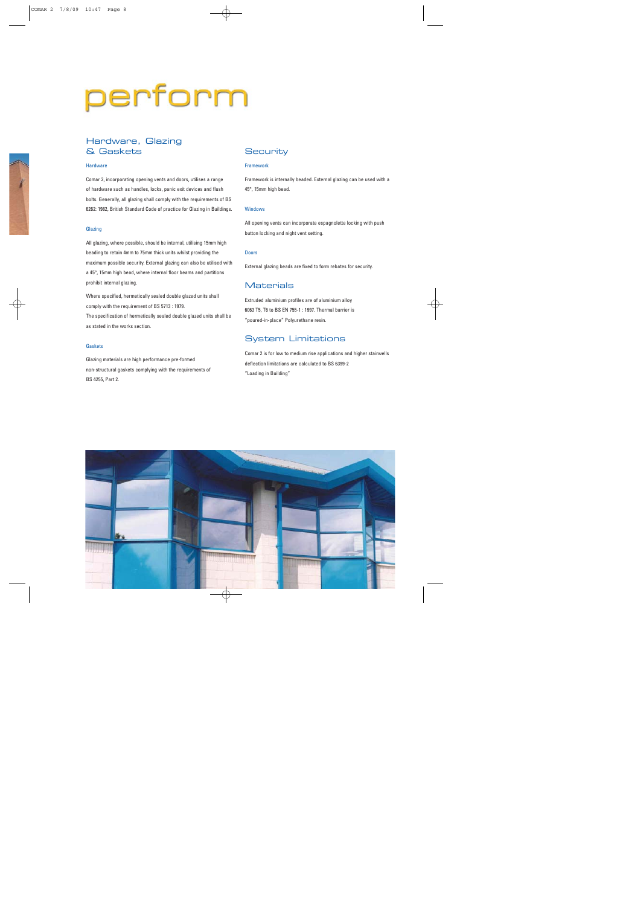# perform

## Hardware, Glazing & Gaskets

#### **Hardware**

Comar 2, incorporating opening vents and doors, utilises a range of hardware such as handles, locks, panic exit devices and flush bolts. Generally, all glazing shall comply with the requirements of BS 6262: 1982, British Standard Code of practice for Glazing in Buildings.

#### Glazing

All glazing, where possible, should be internal, utilising 15mm high beading to retain 4mm to 75mm thick units whilst providing the maximum possible security. External glazing can also be utilised with a 45°, 15mm high bead, where internal floor beams and partitions prohibit internal glazing.

Where specified, hermetically sealed double glazed units shall comply with the requirement of BS 5713 : 1979. The specification of hermetically sealed double glazed units shall be as stated in the works section.

#### Gaskets

Glazing materials are high performance pre-formed non-structural gaskets complying with the requirements of BS 4255, Part 2.

## **Security**

#### Framework

Framework is internally beaded. External glazing can be used with a 45°, 15mm high bead.

#### Windows

All opening vents can incorporate espagnolette locking with push button locking and night vent setting.

#### Doors

External glazing beads are fixed to form rebates for security.

### **Materials**

Extruded aluminium profiles are of aluminium alloy 6063 T5, T6 to BS EN 755-1 : 1997. Thermal barrier is "poured-in-place" Polyurethane resin.

### System Limitations

Comar 2 is for low to medium rise applications and higher stairwells deflection limitations are calculated to BS 6399-2 "Loading in Building"

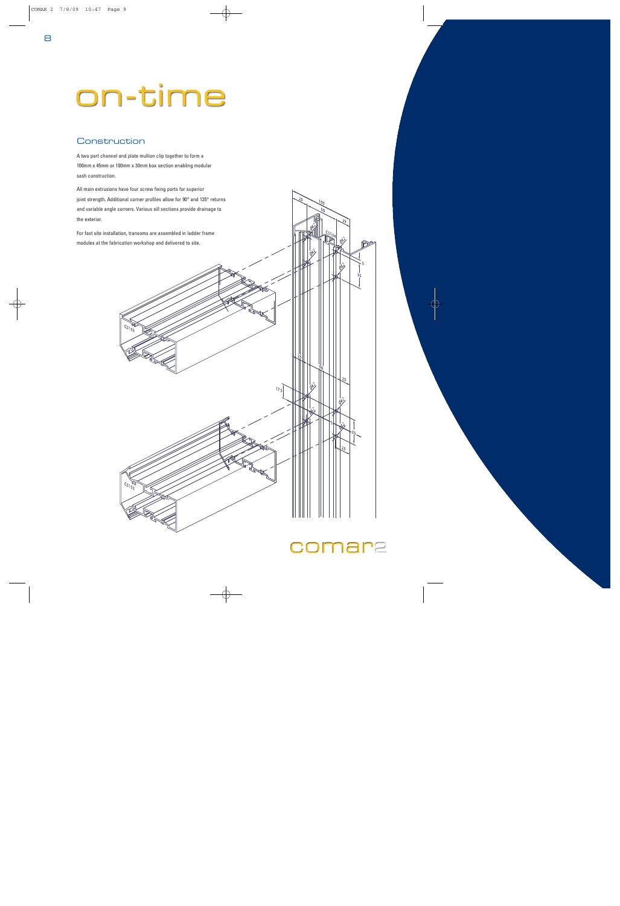# on-time

## Construction

A two part channel and plate mullion clip together to form a 100mm x 45mm or 100mm x 30mm box section enabling modular sash construction.

All main extrusions have four screw fixing ports for superior joint strength. Additional corner profiles allow for 90° and 135° returns and variable angle corners. Various sill sections provide drainage to the exterior.

For fast site installation, transoms are assembled in ladder frame modules at the fabrication workshop and delivered to site.

 $c^{212}$ 

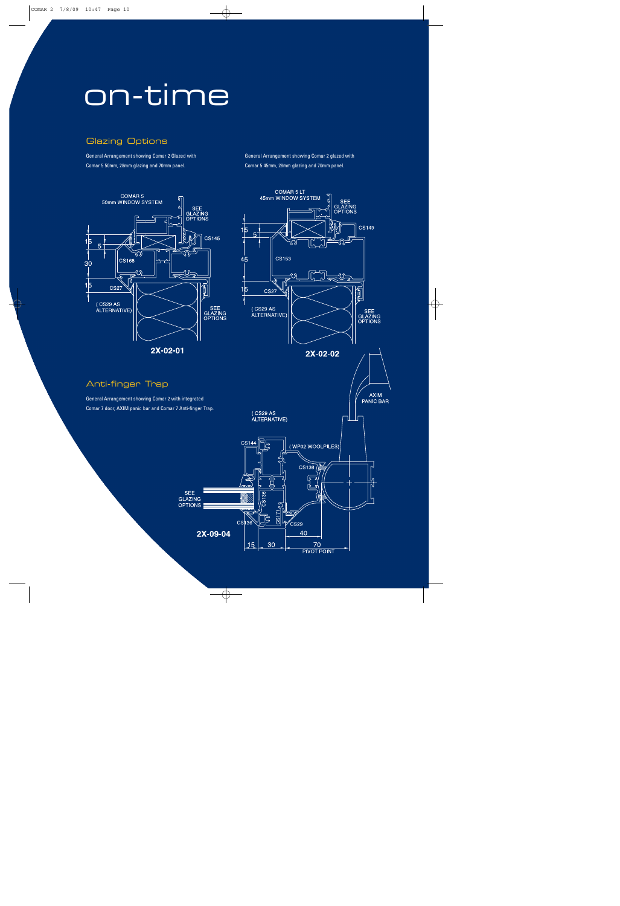## on-time

## Glazing Options

General Arrangement showing Comar 2 Glazed with Comar 5 50mm, 28mm glazing and 70mm panel.

General Arrangement showing Comar 2 glazed with Comar 5 45mm, 28mm glazing and 70mm panel.

**COMAR 5 LT** 





General Arrangement showing Comar 2 with integrated Comar 7 door, AXIM panic bar and Comar 7 Anti-finger Trap.

**SEE** 

**GLAZING OPTIONS** 

Anti-finger Trap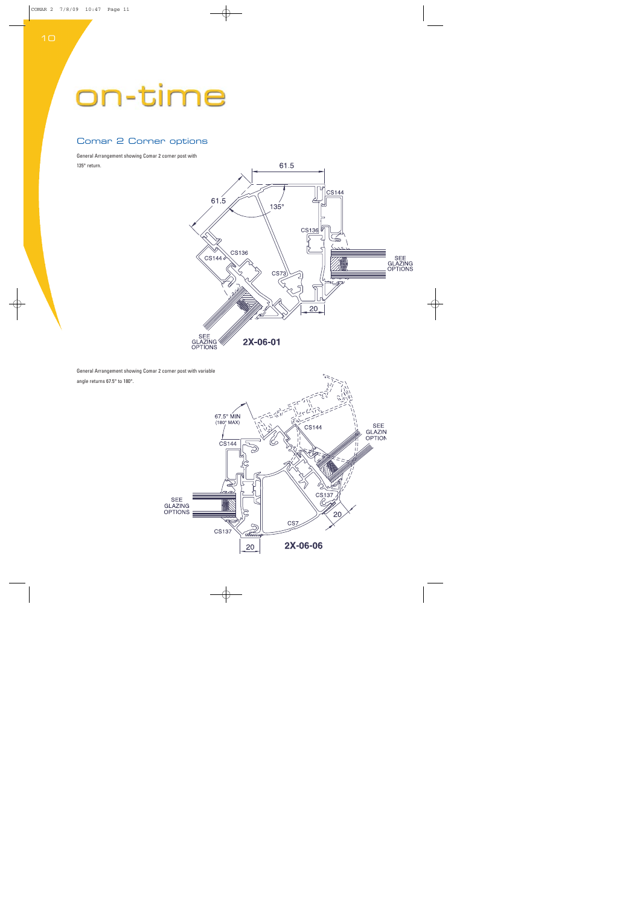## on-time

## Comar 2 Corner options

General Arrangement showing Comar 2 corner post with 135° return.



General Arrangement showing Comar 2 corner post with variable angle returns 67.5° to 180°.

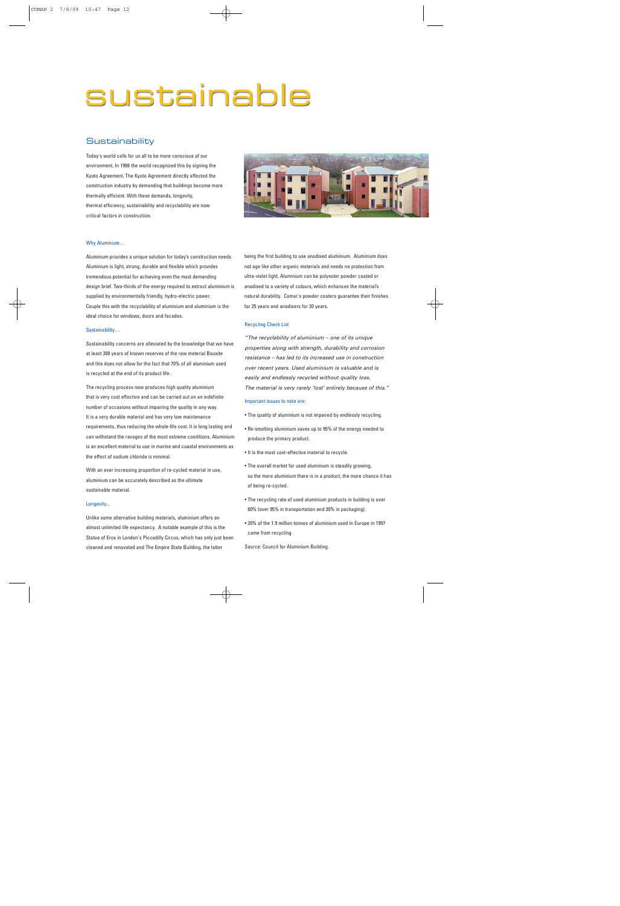## sustainable

### **Sustainability**

Today's world calls for us all to be more conscious of our environment. In 1998 the world recognized this by signing the Kyoto Agreement. The Kyoto Agreement directly affected the construction industry by demanding that buildings become more thermally efficient. With these demands, longevity, thermal efficiency, sustainability and recyclability are now critical factors in construction.



#### Why Aluminium…

Aluminium provides a unique solution for today's construction needs. Aluminium is light, strong, durable and flexible which provides tremendous potential for achieving even the most demanding design brief. Two-thirds of the energy required to extract aluminium is supplied by environmentally friendly, hydro-electric power. Couple this with the recyclability of aluminium and aluminium is the ideal choice for windows, doors and facades.

#### Sustainability…

Sustainability concerns are alleviated by the knowledge that we have at least 300 years of known reserves of the raw material Bauxite and this does not allow for the fact that 70% of all aluminium used is recycled at the end of its product life.

The recycling process now produces high quality aluminium that is very cost effective and can be carried out on an indefinite number of occasions without impairing the quality in any way. It is a very durable material and has very low maintenance requirements, thus reducing the whole-life cost. It is long lasting and can withstand the ravages of the most extreme conditions. Aluminium is an excellent material to use in marine and coastal environments as the effect of sodium chloride is minimal.

With an ever increasing proportion of re-cycled material in use, aluminium can be accurately described as the ultimate sustainable material.

#### Longevity...

Unlike some alternative building materials, aluminium offers an almost unlimited life expectancy. A notable example of this is the Statue of Eros in London's Piccadilly Circus, which has only just been cleaned and renovated and The Empire State Building, the latter

being the first building to use anodised aluminium. Aluminium does not age like other organic materials and needs no protection from ultra-violet light. Aluminium can be polyester powder coated or anodised to a variety of colours, which enhances the material's natural durability. Comar's powder coaters guarantee their finishes for 25 years and anodisers for 30 years.

#### Recycling Check List

"The recyclability of aluminium – one of its unique properties along with strength, durability and corrosion resistance – has led to its increased use in construction over recent years. Used aluminium is valuable and is easily and endlessly recycled without quality loss. The material is very rarely 'lost' entirely because of this."

#### Important issues to note are:

- The quality of aluminium is not impaired by endlessly recycling.
- Re-smelting aluminium saves up to 95% of the energy needed to produce the primary product.
- It is the most cost-effective material to recycle.
- The overall market for used aluminium is steadily growing, so the more aluminium there is in a product, the more chance it has of being re-cycled.
- The recycling rate of used aluminium products in building is over 80% (over 95% in transportation and 30% in packaging).
- 30% of the 1.9 million tonnes of aluminium used in Europe in 1997 came from recycling

Source: Council for Aluminium Building.